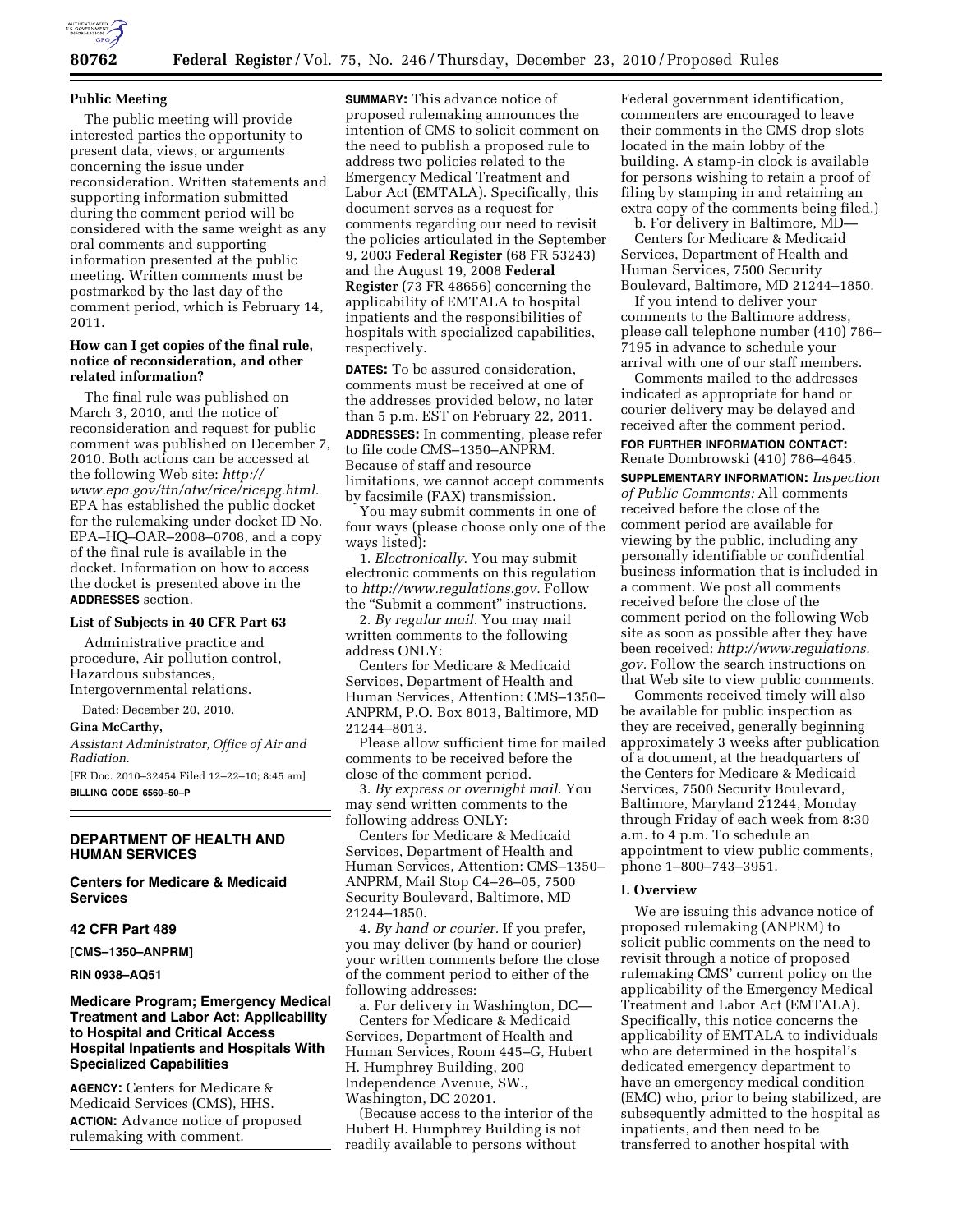

## **Public Meeting**

The public meeting will provide interested parties the opportunity to present data, views, or arguments concerning the issue under reconsideration. Written statements and supporting information submitted during the comment period will be considered with the same weight as any oral comments and supporting information presented at the public meeting. Written comments must be postmarked by the last day of the comment period, which is February 14, 2011.

# **How can I get copies of the final rule, notice of reconsideration, and other related information?**

The final rule was published on March 3, 2010, and the notice of reconsideration and request for public comment was published on December 7, 2010. Both actions can be accessed at the following Web site: *[http://](http://www.epa.gov/ttn/atw/rice/ricepg.html) [www.epa.gov/ttn/atw/rice/ricepg.html.](http://www.epa.gov/ttn/atw/rice/ricepg.html)*  EPA has established the public docket for the rulemaking under docket ID No. EPA–HQ–OAR–2008–0708, and a copy of the final rule is available in the docket. Information on how to access the docket is presented above in the **ADDRESSES** section.

## **List of Subjects in 40 CFR Part 63**

Administrative practice and procedure, Air pollution control, Hazardous substances, Intergovernmental relations.

Dated: December 20, 2010.

#### **Gina McCarthy,**

*Assistant Administrator, Office of Air and Radiation.* 

[FR Doc. 2010–32454 Filed 12–22–10; 8:45 am] **BILLING CODE 6560–50–P** 

# **DEPARTMENT OF HEALTH AND HUMAN SERVICES**

**Centers for Medicare & Medicaid Services** 

#### **42 CFR Part 489**

**[CMS–1350–ANPRM]** 

**RIN 0938–AQ51** 

# **Medicare Program; Emergency Medical Treatment and Labor Act: Applicability to Hospital and Critical Access Hospital Inpatients and Hospitals With Specialized Capabilities**

**AGENCY:** Centers for Medicare & Medicaid Services (CMS), HHS. **ACTION:** Advance notice of proposed rulemaking with comment.

**SUMMARY:** This advance notice of proposed rulemaking announces the intention of CMS to solicit comment on the need to publish a proposed rule to address two policies related to the Emergency Medical Treatment and Labor Act (EMTALA). Specifically, this document serves as a request for comments regarding our need to revisit the policies articulated in the September 9, 2003 **Federal Register** (68 FR 53243) and the August 19, 2008 **Federal Register** (73 FR 48656) concerning the applicability of EMTALA to hospital inpatients and the responsibilities of hospitals with specialized capabilities, respectively.

**DATES:** To be assured consideration, comments must be received at one of the addresses provided below, no later than 5 p.m. EST on February 22, 2011. **ADDRESSES:** In commenting, please refer to file code CMS–1350–ANPRM. Because of staff and resource limitations, we cannot accept comments by facsimile (FAX) transmission.

You may submit comments in one of four ways (please choose only one of the ways listed):

1. *Electronically.* You may submit electronic comments on this regulation to *[http://www.regulations.gov.](http://www.regulations.gov)* Follow the "Submit a comment" instructions.

2. *By regular mail.* You may mail written comments to the following address ONLY:

Centers for Medicare & Medicaid Services, Department of Health and Human Services, Attention: CMS–1350– ANPRM, P.O. Box 8013, Baltimore, MD 21244–8013.

Please allow sufficient time for mailed comments to be received before the close of the comment period.

3. *By express or overnight mail.* You may send written comments to the following address ONLY:

Centers for Medicare & Medicaid Services, Department of Health and Human Services, Attention: CMS–1350– ANPRM, Mail Stop C4–26–05, 7500 Security Boulevard, Baltimore, MD 21244–1850.

4. *By hand or courier.* If you prefer, you may deliver (by hand or courier) your written comments before the close of the comment period to either of the following addresses:

a. For delivery in Washington, DC— Centers for Medicare & Medicaid Services, Department of Health and Human Services, Room 445–G, Hubert H. Humphrey Building, 200 Independence Avenue, SW., Washington, DC 20201.

(Because access to the interior of the Hubert H. Humphrey Building is not readily available to persons without

Federal government identification, commenters are encouraged to leave their comments in the CMS drop slots located in the main lobby of the building. A stamp-in clock is available for persons wishing to retain a proof of filing by stamping in and retaining an extra copy of the comments being filed.)

b. For delivery in Baltimore, MD— Centers for Medicare & Medicaid Services, Department of Health and Human Services, 7500 Security Boulevard, Baltimore, MD 21244–1850.

If you intend to deliver your comments to the Baltimore address, please call telephone number (410) 786– 7195 in advance to schedule your arrival with one of our staff members.

Comments mailed to the addresses indicated as appropriate for hand or courier delivery may be delayed and received after the comment period.

**FOR FURTHER INFORMATION CONTACT:**  Renate Dombrowski (410) 786–4645.

**SUPPLEMENTARY INFORMATION:** *Inspection of Public Comments:* All comments received before the close of the comment period are available for viewing by the public, including any personally identifiable or confidential business information that is included in a comment. We post all comments received before the close of the comment period on the following Web site as soon as possible after they have been received: *[http://www.regulations.](http://www.regulations.gov) [gov.](http://www.regulations.gov)* Follow the search instructions on that Web site to view public comments.

Comments received timely will also be available for public inspection as they are received, generally beginning approximately 3 weeks after publication of a document, at the headquarters of the Centers for Medicare & Medicaid Services, 7500 Security Boulevard, Baltimore, Maryland 21244, Monday through Friday of each week from 8:30 a.m. to 4 p.m. To schedule an appointment to view public comments, phone 1–800–743–3951.

#### **I. Overview**

We are issuing this advance notice of proposed rulemaking (ANPRM) to solicit public comments on the need to revisit through a notice of proposed rulemaking CMS' current policy on the applicability of the Emergency Medical Treatment and Labor Act (EMTALA). Specifically, this notice concerns the applicability of EMTALA to individuals who are determined in the hospital's dedicated emergency department to have an emergency medical condition (EMC) who, prior to being stabilized, are subsequently admitted to the hospital as inpatients, and then need to be transferred to another hospital with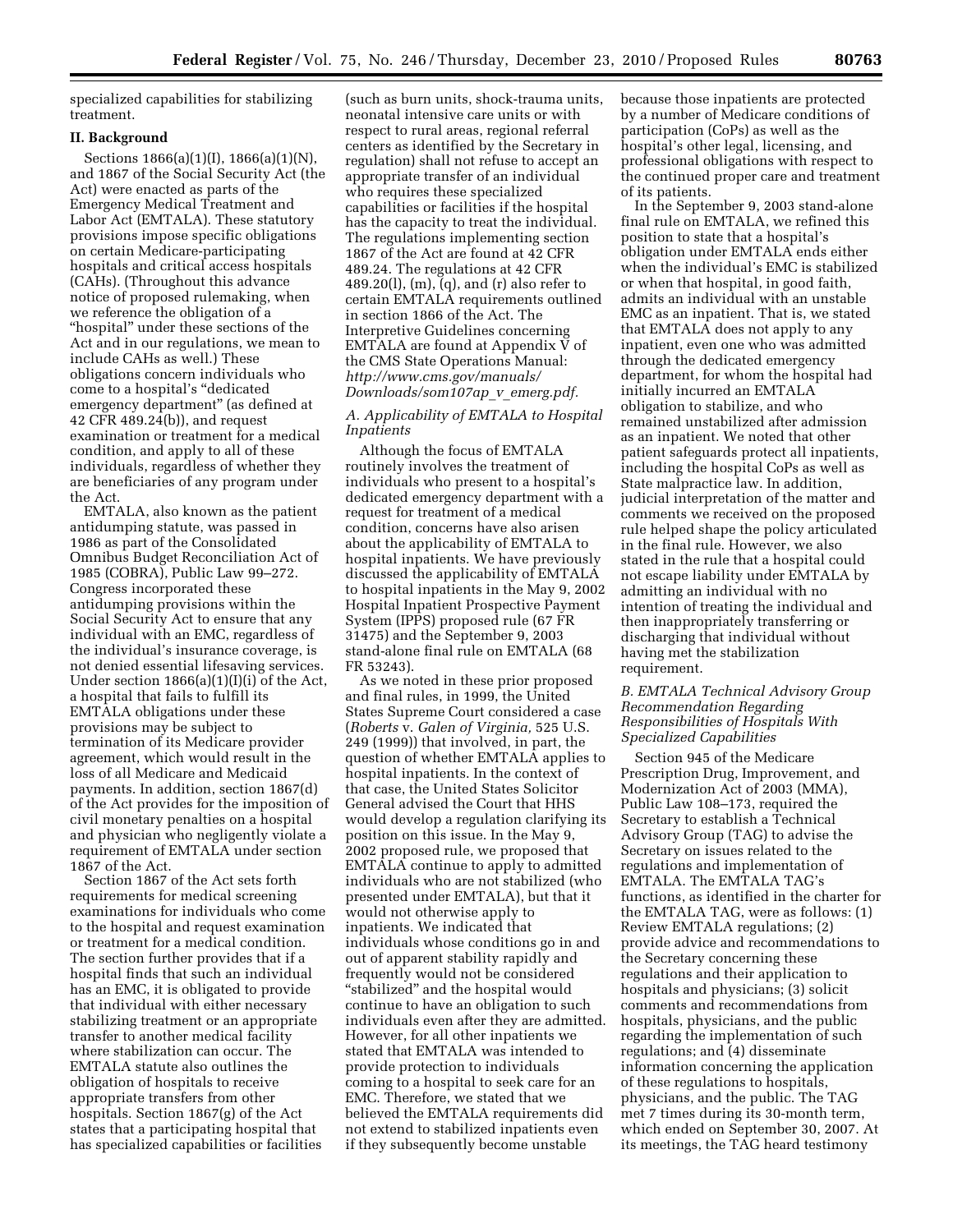specialized capabilities for stabilizing treatment.

#### **II. Background**

Sections 1866(a)(1)(I), 1866(a)(1)(N), and 1867 of the Social Security Act (the Act) were enacted as parts of the Emergency Medical Treatment and Labor Act (EMTALA). These statutory provisions impose specific obligations on certain Medicare-participating hospitals and critical access hospitals (CAHs). (Throughout this advance notice of proposed rulemaking, when we reference the obligation of a ''hospital'' under these sections of the Act and in our regulations, we mean to include CAHs as well.) These obligations concern individuals who come to a hospital's ''dedicated emergency department'' (as defined at 42 CFR 489.24(b)), and request examination or treatment for a medical condition, and apply to all of these individuals, regardless of whether they are beneficiaries of any program under the Act.

EMTALA, also known as the patient antidumping statute, was passed in 1986 as part of the Consolidated Omnibus Budget Reconciliation Act of 1985 (COBRA), Public Law 99–272. Congress incorporated these antidumping provisions within the Social Security Act to ensure that any individual with an EMC, regardless of the individual's insurance coverage, is not denied essential lifesaving services. Under section 1866(a)(1)(I)(i) of the Act, a hospital that fails to fulfill its EMTALA obligations under these provisions may be subject to termination of its Medicare provider agreement, which would result in the loss of all Medicare and Medicaid payments. In addition, section 1867(d) of the Act provides for the imposition of civil monetary penalties on a hospital and physician who negligently violate a requirement of EMTALA under section 1867 of the Act.

Section 1867 of the Act sets forth requirements for medical screening examinations for individuals who come to the hospital and request examination or treatment for a medical condition. The section further provides that if a hospital finds that such an individual has an EMC, it is obligated to provide that individual with either necessary stabilizing treatment or an appropriate transfer to another medical facility where stabilization can occur. The EMTALA statute also outlines the obligation of hospitals to receive appropriate transfers from other hospitals. Section 1867(g) of the Act states that a participating hospital that has specialized capabilities or facilities

(such as burn units, shock-trauma units, neonatal intensive care units or with respect to rural areas, regional referral centers as identified by the Secretary in regulation) shall not refuse to accept an appropriate transfer of an individual who requires these specialized capabilities or facilities if the hospital has the capacity to treat the individual. The regulations implementing section 1867 of the Act are found at 42 CFR 489.24. The regulations at 42 CFR 489.20(l), (m), (q), and (r) also refer to certain EMTALA requirements outlined in section 1866 of the Act. The Interpretive Guidelines concerning EMTALA are found at Appendix V of the CMS State Operations Manual: *[http://www.cms.gov/manuals/](http://www.cms.gov/manuals/Downloads/som107ap_v_emerg.pdf) [Downloads/som107ap](http://www.cms.gov/manuals/Downloads/som107ap_v_emerg.pdf)*\_*v*\_*emerg.pdf.* 

# *A. Applicability of EMTALA to Hospital Inpatients*

Although the focus of EMTALA routinely involves the treatment of individuals who present to a hospital's dedicated emergency department with a request for treatment of a medical condition, concerns have also arisen about the applicability of EMTALA to hospital inpatients. We have previously discussed the applicability of EMTALA to hospital inpatients in the May 9, 2002 Hospital Inpatient Prospective Payment System (IPPS) proposed rule (67 FR 31475) and the September 9, 2003 stand-alone final rule on EMTALA (68 FR 53243).

As we noted in these prior proposed and final rules, in 1999, the United States Supreme Court considered a case (*Roberts* v. *Galen of Virginia,* 525 U.S. 249 (1999)) that involved, in part, the question of whether EMTALA applies to hospital inpatients. In the context of that case, the United States Solicitor General advised the Court that HHS would develop a regulation clarifying its position on this issue. In the May 9, 2002 proposed rule, we proposed that EMTALA continue to apply to admitted individuals who are not stabilized (who presented under EMTALA), but that it would not otherwise apply to inpatients. We indicated that individuals whose conditions go in and out of apparent stability rapidly and frequently would not be considered ''stabilized'' and the hospital would continue to have an obligation to such individuals even after they are admitted. However, for all other inpatients we stated that EMTALA was intended to provide protection to individuals coming to a hospital to seek care for an EMC. Therefore, we stated that we believed the EMTALA requirements did not extend to stabilized inpatients even if they subsequently become unstable

because those inpatients are protected by a number of Medicare conditions of participation (CoPs) as well as the hospital's other legal, licensing, and professional obligations with respect to the continued proper care and treatment of its patients.

In the September 9, 2003 stand-alone final rule on EMTALA, we refined this position to state that a hospital's obligation under EMTALA ends either when the individual's EMC is stabilized or when that hospital, in good faith, admits an individual with an unstable EMC as an inpatient. That is, we stated that EMTALA does not apply to any inpatient, even one who was admitted through the dedicated emergency department, for whom the hospital had initially incurred an EMTALA obligation to stabilize, and who remained unstabilized after admission as an inpatient. We noted that other patient safeguards protect all inpatients, including the hospital CoPs as well as State malpractice law. In addition, judicial interpretation of the matter and comments we received on the proposed rule helped shape the policy articulated in the final rule. However, we also stated in the rule that a hospital could not escape liability under EMTALA by admitting an individual with no intention of treating the individual and then inappropriately transferring or discharging that individual without having met the stabilization requirement.

# *B. EMTALA Technical Advisory Group Recommendation Regarding Responsibilities of Hospitals With Specialized Capabilities*

Section 945 of the Medicare Prescription Drug, Improvement, and Modernization Act of 2003 (MMA), Public Law 108–173, required the Secretary to establish a Technical Advisory Group (TAG) to advise the Secretary on issues related to the regulations and implementation of EMTALA. The EMTALA TAG's functions, as identified in the charter for the EMTALA TAG, were as follows: (1) Review EMTALA regulations; (2) provide advice and recommendations to the Secretary concerning these regulations and their application to hospitals and physicians; (3) solicit comments and recommendations from hospitals, physicians, and the public regarding the implementation of such regulations; and (4) disseminate information concerning the application of these regulations to hospitals, physicians, and the public. The TAG met 7 times during its 30-month term, which ended on September 30, 2007. At its meetings, the TAG heard testimony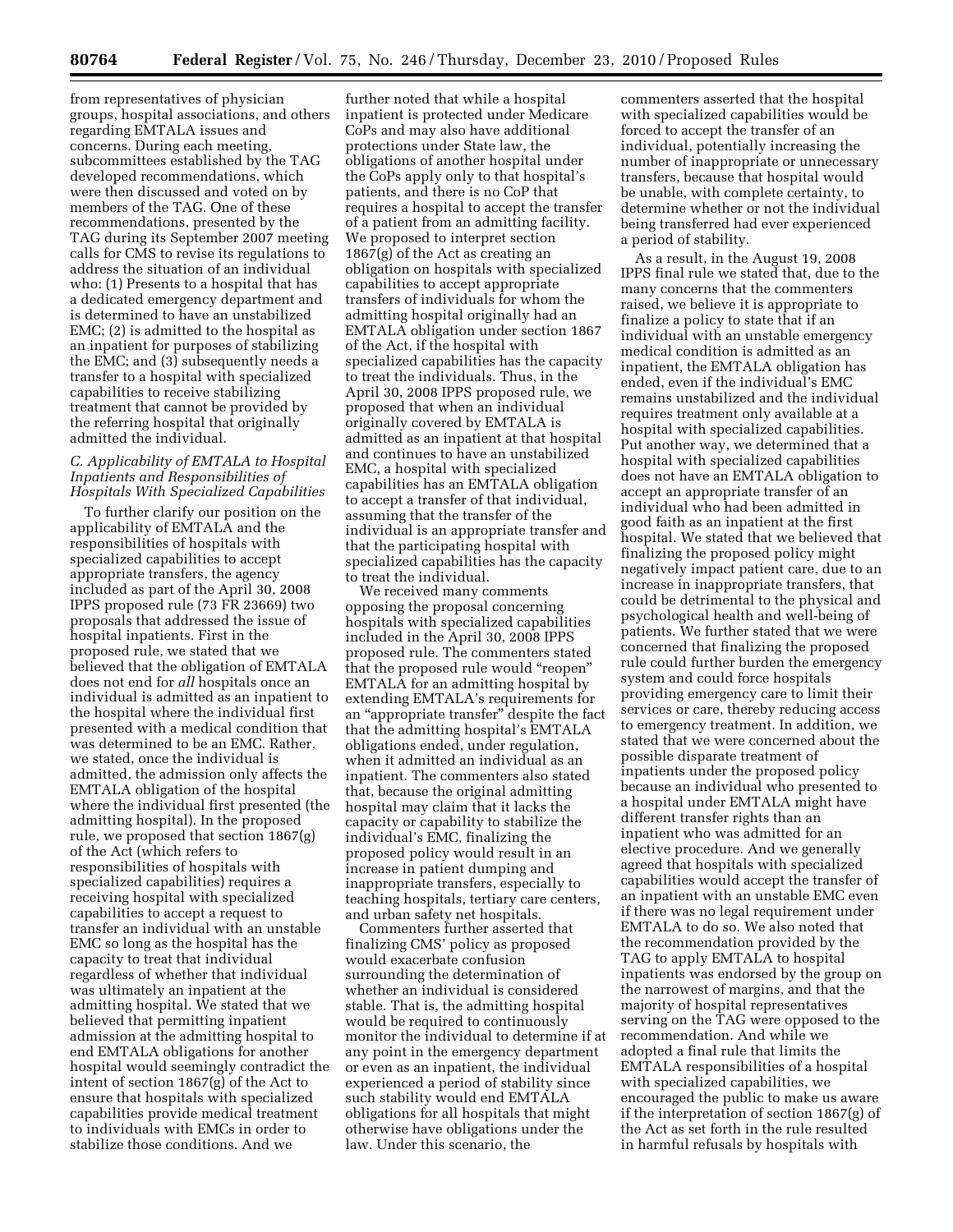from representatives of physician groups, hospital associations, and others regarding EMTALA issues and concerns. During each meeting, subcommittees established by the TAG developed recommendations, which were then discussed and voted on by members of the TAG. One of these recommendations, presented by the TAG during its September 2007 meeting calls for CMS to revise its regulations to address the situation of an individual who: (1) Presents to a hospital that has a dedicated emergency department and is determined to have an unstabilized EMC; (2) is admitted to the hospital as an inpatient for purposes of stabilizing the EMC; and (3) subsequently needs a transfer to a hospital with specialized capabilities to receive stabilizing treatment that cannot be provided by the referring hospital that originally admitted the individual.

# *C. Applicability of EMTALA to Hospital Inpatients and Responsibilities of Hospitals With Specialized Capabilities*

To further clarify our position on the applicability of EMTALA and the responsibilities of hospitals with specialized capabilities to accept appropriate transfers, the agency included as part of the April 30, 2008 IPPS proposed rule (73 FR 23669) two proposals that addressed the issue of hospital inpatients. First in the proposed rule, we stated that we believed that the obligation of EMTALA does not end for *all* hospitals once an individual is admitted as an inpatient to the hospital where the individual first presented with a medical condition that was determined to be an EMC. Rather, we stated, once the individual is admitted, the admission only affects the EMTALA obligation of the hospital where the individual first presented (the admitting hospital). In the proposed rule, we proposed that section 1867(g) of the Act (which refers to responsibilities of hospitals with specialized capabilities) requires a receiving hospital with specialized capabilities to accept a request to transfer an individual with an unstable EMC so long as the hospital has the capacity to treat that individual regardless of whether that individual was ultimately an inpatient at the admitting hospital. We stated that we believed that permitting inpatient admission at the admitting hospital to end EMTALA obligations for another hospital would seemingly contradict the intent of section 1867(g) of the Act to ensure that hospitals with specialized capabilities provide medical treatment to individuals with EMCs in order to stabilize those conditions. And we

further noted that while a hospital inpatient is protected under Medicare CoPs and may also have additional protections under State law, the obligations of another hospital under the CoPs apply only to that hospital's patients, and there is no CoP that requires a hospital to accept the transfer of a patient from an admitting facility. We proposed to interpret section 1867(g) of the Act as creating an obligation on hospitals with specialized capabilities to accept appropriate transfers of individuals for whom the admitting hospital originally had an EMTALA obligation under section 1867 of the Act, if the hospital with specialized capabilities has the capacity to treat the individuals. Thus, in the April 30, 2008 IPPS proposed rule, we proposed that when an individual originally covered by EMTALA is admitted as an inpatient at that hospital and continues to have an unstabilized EMC, a hospital with specialized capabilities has an EMTALA obligation to accept a transfer of that individual, assuming that the transfer of the individual is an appropriate transfer and that the participating hospital with specialized capabilities has the capacity to treat the individual.

We received many comments opposing the proposal concerning hospitals with specialized capabilities included in the April 30, 2008 IPPS proposed rule. The commenters stated that the proposed rule would ''reopen'' EMTALA for an admitting hospital by extending EMTALA's requirements for an ''appropriate transfer'' despite the fact that the admitting hospital's EMTALA obligations ended, under regulation, when it admitted an individual as an inpatient. The commenters also stated that, because the original admitting hospital may claim that it lacks the capacity or capability to stabilize the individual's EMC, finalizing the proposed policy would result in an increase in patient dumping and inappropriate transfers, especially to teaching hospitals, tertiary care centers, and urban safety net hospitals.

Commenters further asserted that finalizing CMS' policy as proposed would exacerbate confusion surrounding the determination of whether an individual is considered stable. That is, the admitting hospital would be required to continuously monitor the individual to determine if at any point in the emergency department or even as an inpatient, the individual experienced a period of stability since such stability would end EMTALA obligations for all hospitals that might otherwise have obligations under the law. Under this scenario, the

commenters asserted that the hospital with specialized capabilities would be forced to accept the transfer of an individual, potentially increasing the number of inappropriate or unnecessary transfers, because that hospital would be unable, with complete certainty, to determine whether or not the individual being transferred had ever experienced a period of stability.

As a result, in the August 19, 2008 IPPS final rule we stated that, due to the many concerns that the commenters raised, we believe it is appropriate to finalize a policy to state that if an individual with an unstable emergency medical condition is admitted as an inpatient, the EMTALA obligation has ended, even if the individual's EMC remains unstabilized and the individual requires treatment only available at a hospital with specialized capabilities. Put another way, we determined that a hospital with specialized capabilities does not have an EMTALA obligation to accept an appropriate transfer of an individual who had been admitted in good faith as an inpatient at the first hospital. We stated that we believed that finalizing the proposed policy might negatively impact patient care, due to an increase in inappropriate transfers, that could be detrimental to the physical and psychological health and well-being of patients. We further stated that we were concerned that finalizing the proposed rule could further burden the emergency system and could force hospitals providing emergency care to limit their services or care, thereby reducing access to emergency treatment. In addition, we stated that we were concerned about the possible disparate treatment of inpatients under the proposed policy because an individual who presented to a hospital under EMTALA might have different transfer rights than an inpatient who was admitted for an elective procedure. And we generally agreed that hospitals with specialized capabilities would accept the transfer of an inpatient with an unstable EMC even if there was no legal requirement under EMTALA to do so. We also noted that the recommendation provided by the TAG to apply EMTALA to hospital inpatients was endorsed by the group on the narrowest of margins, and that the majority of hospital representatives serving on the TAG were opposed to the recommendation. And while we adopted a final rule that limits the EMTALA responsibilities of a hospital with specialized capabilities, we encouraged the public to make us aware if the interpretation of section 1867(g) of the Act as set forth in the rule resulted in harmful refusals by hospitals with